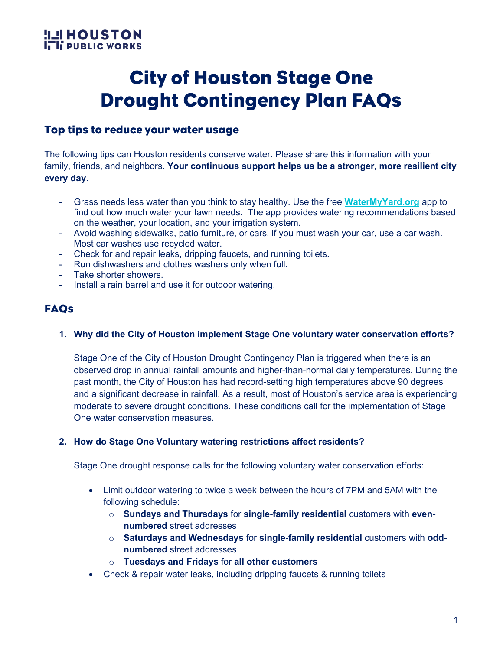### **HOUSTON!L! I. Ii PUBLIC WORKS**

## City of Houston Stage One Drought Contingency Plan FAQs

### Top tips to reduce your water usage

The following tips can Houston residents conserve water. Please share this information with your family, friends, and neighbors. **Your continuous support helps us be a stronger, more resilient city every day.**

- Grass needs less water than you think to stay healthy. Use the free **[WaterMyYard.org](https://www.watermyyard.org/)** app to find out how much water your lawn needs. The app provides watering recommendations based on the weather, your location, and your irrigation system.
- Avoid washing sidewalks, patio furniture, or cars. If you must wash your car, use a car wash. Most car washes use recycled water.
- Check for and repair leaks, dripping faucets, and running toilets.
- Run dishwashers and clothes washers only when full.
- Take shorter showers.
- Install a rain barrel and use it for outdoor watering.

### **FAQs**

**1. Why did the City of Houston implement Stage One voluntary water conservation efforts?** 

Stage One of the City of Houston Drought Contingency Plan is triggered when there is an observed drop in annual rainfall amounts and higher-than-normal daily temperatures. During the past month, the City of Houston has had record-setting high temperatures above 90 degrees and a significant decrease in rainfall. As a result, most of Houston's service area is experiencing moderate to severe drought conditions. These conditions call for the implementation of Stage One water conservation measures.

#### **2. How do Stage One Voluntary watering restrictions affect residents?**

Stage One drought response calls for the following voluntary water conservation efforts:

- Limit outdoor watering to twice a week between the hours of 7PM and 5AM with the following schedule:
	- o **Sundays and Thursdays** for **single-family residential** customers with **evennumbered** street addresses
	- o **Saturdays and Wednesdays** for **single-family residential** customers with **oddnumbered** street addresses
	- o **Tuesdays and Fridays** for **all other customers**
- Check & repair water leaks, including dripping faucets & running toilets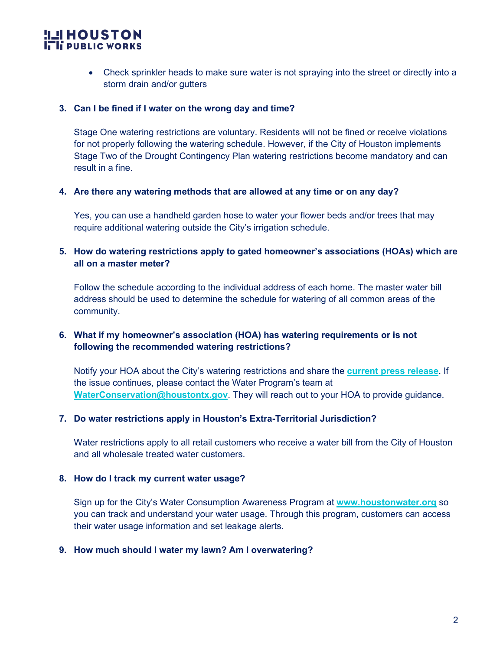# **ILI HOUSTON**<br>**I<sub>T</sub> I<sub>I</sub> PUBLIC WORKS**

• Check sprinkler heads to make sure water is not spraying into the street or directly into a storm drain and/or gutters

#### **3. Can I be fined if I water on the wrong day and time?**

Stage One watering restrictions are voluntary. Residents will not be fined or receive violations for not properly following the watering schedule. However, if the City of Houston implements Stage Two of the Drought Contingency Plan watering restrictions become mandatory and can result in a fine.

#### **4. Are there any watering methods that are allowed at any time or on any day?**

Yes, you can use a handheld garden hose to water your flower beds and/or trees that may require additional watering outside the City's irrigation schedule.

#### **5. How do watering restrictions apply to gated homeowner's associations (HOAs) which are all on a master meter?**

Follow the schedule according to the individual address of each home. The master water bill address should be used to determine the schedule for watering of all common areas of the community.

#### **6. What if my homeowner's association (HOA) has watering requirements or is not following the recommended watering restrictions?**

Notify your HOA about the City's watering restrictions and share the **[current press release](https://l.facebook.com/l.php?u=https%3A%2F%2Fbit.ly%2Fstageonedrought2022%3Ffbclid%3DIwAR1R3U7v7Tfis6VUVUxNyyAgxBu0NoeDtcsQ8ldJFu8IuKNy8Me7Ia9vwQ0&h=AT3eDOYORHHgc71h71rEkXgbjk6gClirDn-g-Odk06RL2aE2t0B122-M_PL-6aoIN5A4MQPk8AhQZTx9aK5zg1GVJvEG4HJ0M88hJdxbUGvN3Yi3J0C12SaZ3VQHFG3AUA&__tn__=-UK-R&c%5b0%5d=AT3wD0Zfae7i7UltJTAob6mjnb2x4S2NZBmNl2wyjVAqMjPEfXTFQ-zjceRQJpBrFgExH7LF8zi8TYVQiyZVk2bZY8PGxyjiU4pbOhMbxzXCsaKF-MsjU9emjfKzpo2Fx-_J8MHmW4AqF2SrlfmVgvJizsGAFgMN0KoiZ3E17M98As2bq7CfRmjCPcq5Cfd1qY9j_oOD)**. If the issue continues, please contact the Water Program's team at **[WaterConservation@houstontx.gov](mailto:WaterConservation@houstontx.gov)**. They will reach out to your HOA to provide guidance.

#### **7. Do water restrictions apply in Houston's Extra-Territorial Jurisdiction?**

Water restrictions apply to all retail customers who receive a water bill from the City of Houston and all wholesale treated water customers.

#### **8. How do I track my current water usage?**

Sign up for the City's Water Consumption Awareness Program at **[www.houstonwater.org](http://www.houstonwater.org/)** so you can track and understand your water usage. Through this program, customers can access their water usage information and set leakage alerts.

#### **9. How much should I water my lawn? Am I overwatering?**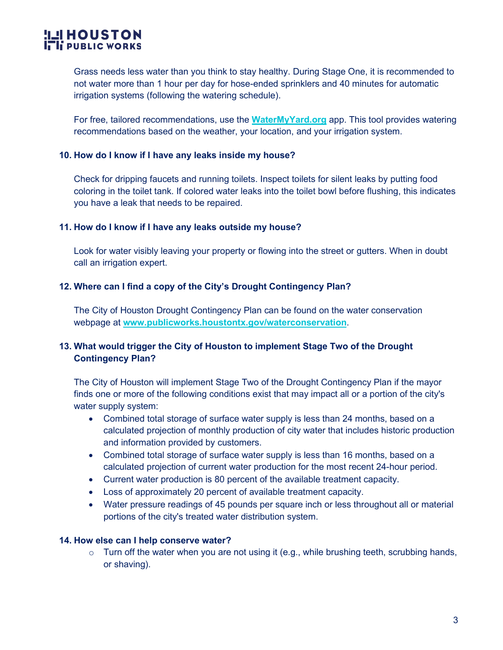# **ILI HOUSTON**<br>**I<sub>T</sub> I<sub>I</sub> PUBLIC WORKS**

Grass needs less water than you think to stay healthy. During Stage One, it is recommended to not water more than 1 hour per day for hose-ended sprinklers and 40 minutes for automatic irrigation systems (following the watering schedule).

For free, tailored recommendations, use the **WaterMyYard.org** app. This tool provides watering recommendations based on the weather, your location, and your irrigation system.

#### **10. How do I know if I have any leaks inside my house?**

Check for dripping faucets and running toilets. Inspect toilets for silent leaks by putting food coloring in the toilet tank. If colored water leaks into the toilet bowl before flushing, this indicates you have a leak that needs to be repaired.

#### **11. How do I know if I have any leaks outside my house?**

Look for water visibly leaving your property or flowing into the street or gutters. When in doubt call an irrigation expert.

#### **12. Where can I find a copy of the City's Drought Contingency Plan?**

The City of Houston Drought Contingency Plan can be found on the water conservation webpage at **[www.publicworks.houstontx.gov/waterconservation](http://www.publicworks.houstontx.gov/waterconservation)**.

#### **13. What would trigger the City of Houston to implement Stage Two of the Drought Contingency Plan?**

The City of Houston will implement Stage Two of the Drought Contingency Plan if the mayor finds one or more of the following conditions exist that may impact all or a portion of the city's water supply system:

- Combined total storage of surface water supply is less than 24 months, based on a calculated projection of monthly production of city water that includes historic production and information provided by customers.
- Combined total storage of surface water supply is less than 16 months, based on a calculated projection of current water production for the most recent 24-hour period.
- Current water production is 80 percent of the available treatment capacity.
- Loss of approximately 20 percent of available treatment capacity.
- Water pressure readings of 45 pounds per square inch or less throughout all or material portions of the city's treated water distribution system.

#### **14. How else can I help conserve water?**

 $\circ$  Turn off the water when you are not using it (e.g., while brushing teeth, scrubbing hands, or shaving).